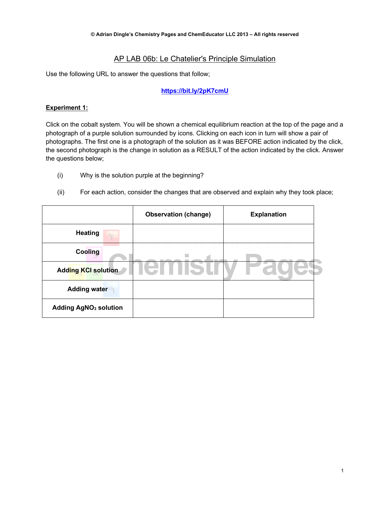# AP LAB 06b: Le Chatelier's Principle Simulation

Use the following URL to answer the questions that follow;

## **https://bit.ly/2pK7cmU**

#### **Experiment 1:**

Click on the cobalt system. You will be shown a chemical equilibrium reaction at the top of the page and a photograph of a purple solution surrounded by icons. Clicking on each icon in turn will show a pair of photographs. The first one is a photograph of the solution as it was BEFORE action indicated by the click, the second photograph is the change in solution as a RESULT of the action indicated by the click. Answer the questions below;

- (i) Why is the solution purple at the beginning?
- (ii) For each action, consider the changes that are observed and explain why they took place;

|                                         | <b>Observation (change)</b> | <b>Explanation</b> |
|-----------------------------------------|-----------------------------|--------------------|
| <b>Heating</b><br>9 <sub>E</sub>        |                             |                    |
| Cooling                                 |                             |                    |
| <b>Adding KCI solution</b>              |                             |                    |
| <b>Adding water</b> <sup>53</sup>       |                             |                    |
| <b>Adding AgNO<sub>3</sub> solution</b> |                             |                    |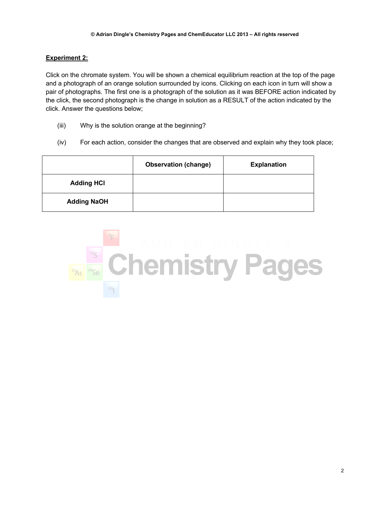## **Experiment 2:**

Click on the chromate system. You will be shown a chemical equilibrium reaction at the top of the page and a photograph of an orange solution surrounded by icons. Clicking on each icon in turn will show a pair of photographs. The first one is a photograph of the solution as it was BEFORE action indicated by the click, the second photograph is the change in solution as a RESULT of the action indicated by the click. Answer the questions below;

- (iii) Why is the solution orange at the beginning?
- (iv) For each action, consider the changes that are observed and explain why they took place;

|                    | <b>Observation (change)</b> | <b>Explanation</b> |
|--------------------|-----------------------------|--------------------|
| <b>Adding HCI</b>  |                             |                    |
| <b>Adding NaOH</b> |                             |                    |

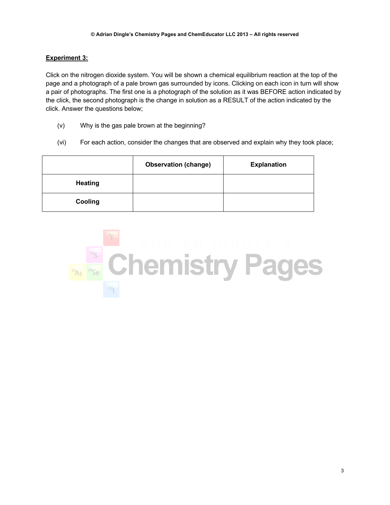# **Experiment 3:**

Click on the nitrogen dioxide system. You will be shown a chemical equilibrium reaction at the top of the page and a photograph of a pale brown gas surrounded by icons. Clicking on each icon in turn will show a pair of photographs. The first one is a photograph of the solution as it was BEFORE action indicated by the click, the second photograph is the change in solution as a RESULT of the action indicated by the click. Answer the questions below;

- (v) Why is the gas pale brown at the beginning?
- (vi) For each action, consider the changes that are observed and explain why they took place;

|                | <b>Observation (change)</b> | <b>Explanation</b> |
|----------------|-----------------------------|--------------------|
| <b>Heating</b> |                             |                    |
| Cooling        |                             |                    |